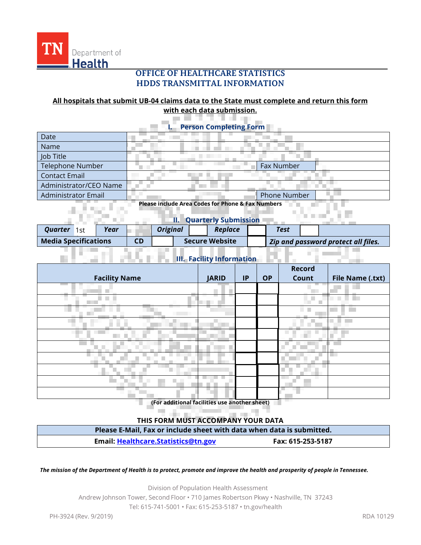

55 M

## **OFFICE OF HEALTHCARE STATISTICS HDDS TRANSMITTAL INFORMATION**

### **All hospitals that submit UB-04 claims data to the State must complete and return this form with each data submission.**

an Mi

AU 6

**I. Person Completing Form**

| Date                                                         |  |              |
|--------------------------------------------------------------|--|--------------|
| Name                                                         |  |              |
| Job Title                                                    |  |              |
| <b>Telephone Number</b>                                      |  | Fax Number   |
| <b>Contact Email</b>                                         |  |              |
| Administrator/CEO Name                                       |  |              |
| <b>Administrator Email</b>                                   |  | Phone Number |
| <b>Please include Area Codes for Phone &amp; Fax Numbers</b> |  |              |

# **II. Quarterly Submission**

m in

n mar

| Ouarter<br>1st -            | Year | <b>Original</b> |                       | Replace | Test                                |  |  |
|-----------------------------|------|-----------------|-----------------------|---------|-------------------------------------|--|--|
| <b>Media Specifications</b> |      |                 | <b>Secure Website</b> |         | Zip and password protect all files. |  |  |

| <b>III. Facility Information</b> |  |
|----------------------------------|--|
|                                  |  |

| <b>Facility Name</b> | <b>JARID</b>         | IP | <b>OP</b> | <b>Record</b><br>Count | <b>File Name (.txt)</b> |
|----------------------|----------------------|----|-----------|------------------------|-------------------------|
|                      |                      |    |           |                        |                         |
| a kalendar           |                      |    |           |                        |                         |
| a sa<br>a sa B       | ٠<br><b>Contract</b> |    |           | ٠                      |                         |
|                      |                      |    |           |                        |                         |
|                      |                      |    |           |                        |                         |
|                      |                      |    |           |                        |                         |
|                      |                      |    |           |                        |                         |
|                      |                      |    |           |                        |                         |
|                      |                      |    |           |                        |                         |
|                      |                      |    |           |                        |                         |

**(For additional facilities use another sheet)**

#### **THIS FORM MUST ACCOMPANY YOUR DATA**

| Please E-Mail, Fax or include sheet with data when data is submitted. |                   |  |  |  |
|-----------------------------------------------------------------------|-------------------|--|--|--|
| Email: Healthcare.Statistics@tn.gov                                   | Fax: 615-253-5187 |  |  |  |

*The mission of the Department of Health is to protect, promote and improve the health and prosperity of people in Tennessee.*

Division of Population Health Assessment Andrew Johnson Tower, Second Floor • 710 James Robertson Pkwy • Nashville, TN 37243 Tel: 615-741-5001 • Fax: 615-253-5187 • tn.gov/health